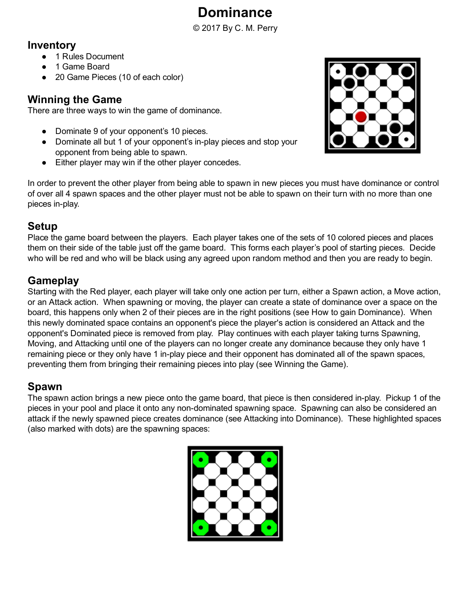# Dominance

© 2017 By C. M. Perry

## Inventory

- 1 Rules Document
- 1 Game Board
- 20 Game Pieces (10 of each color)

### Winning the Game

There are three ways to win the game of dominance.

- Dominate 9 of your opponent's 10 pieces.
- Dominate all but 1 of your opponent's in-play pieces and stop your opponent from being able to spawn.
- Either player may win if the other player concedes.

In order to prevent the other player from being able to spawn in new pieces you must have dominance or control of over all 4 spawn spaces and the other player must not be able to spawn on their turn with no more than one pieces in-play.

# Setup

Place the game board between the players. Each player takes one of the sets of 10 colored pieces and places them on their side of the table just off the game board. This forms each player's pool of starting pieces. Decide who will be red and who will be black using any agreed upon random method and then you are ready to begin.

# **Gameplay**

Starting with the Red player, each player will take only one action per turn, either a Spawn action, a Move action, or an Attack action. When spawning or moving, the player can create a state of dominance over a space on the board, this happens only when 2 of their pieces are in the right positions (see How to gain Dominance). When this newly dominated space contains an opponent's piece the player's action is considered an Attack and the opponent's Dominated piece is removed from play. Play continues with each player taking turns Spawning, Moving, and Attacking until one of the players can no longer create any dominance because they only have 1 remaining piece or they only have 1 in-play piece and their opponent has dominated all of the spawn spaces, preventing them from bringing their remaining pieces into play (see Winning the Game).

# Spawn

The spawn action brings a new piece onto the game board, that piece is then considered in-play. Pickup 1 of the pieces in your pool and place it onto any non-dominated spawning space. Spawning can also be considered an attack if the newly spawned piece creates dominance (see Attacking into Dominance). These highlighted spaces (also marked with dots) are the spawning spaces:



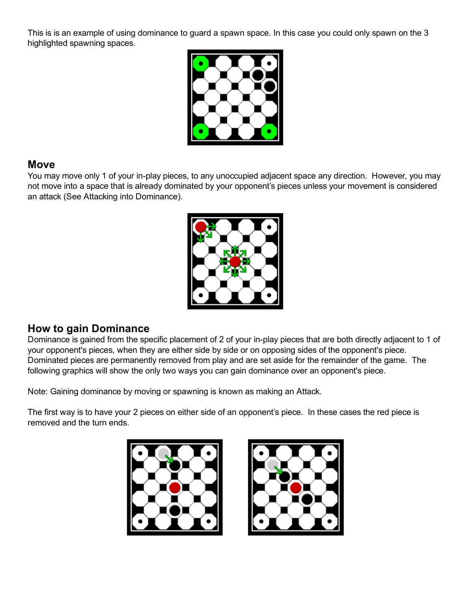This is is an example of using dominance to guard a spawn space. In this case you could only spawn on the 3 highlighted spawning spaces.



#### Move

You may move only 1 of your in-play pieces, to any unoccupied adjacent space any direction. However, you may not move into a space that is already dominated by your opponent's pieces unless your movement is considered an attack (See Attacking into Dominance).



#### How to gain Dominance

Dominance is gained from the specific placement of 2 of your in-play pieces that are both directly adjacent to 1 of your opponent's pieces, when they are either side by side or on opposing sides of the opponent's piece. Dominated pieces are permanently removed from play and are set aside for the remainder of the game. The following graphics will show the only two ways you can gain dominance over an opponent's piece.

Note: Gaining dominance by moving or spawning is known as making an Attack.

The first way is to have your 2 pieces on either side of an opponent's piece. In these cases the red piece is removed and the turn ends.



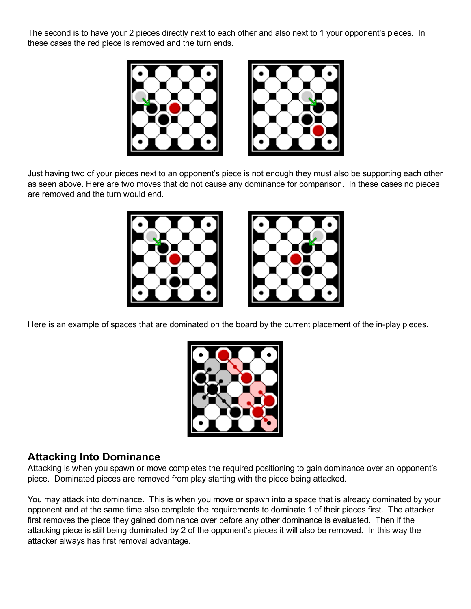The second is to have your 2 pieces directly next to each other and also next to 1 your opponent's pieces. In these cases the red piece is removed and the turn ends.





Just having two of your pieces next to an opponent's piece is not enough they must also be supporting each other as seen above. Here are two moves that do not cause any dominance for comparison. In these cases no pieces are removed and the turn would end.





Here is an example of spaces that are dominated on the board by the current placement of the in-play pieces.



#### Attacking Into Dominance

Attacking is when you spawn or move completes the required positioning to gain dominance over an opponent's piece. Dominated pieces are removed from play starting with the piece being attacked.

You may attack into dominance. This is when you move or spawn into a space that is already dominated by your opponent and at the same time also complete the requirements to dominate 1 of their pieces first. The attacker first removes the piece they gained dominance over before any other dominance is evaluated. Then if the attacking piece is still being dominated by 2 of the opponent's pieces it will also be removed. In this way the attacker always has first removal advantage.